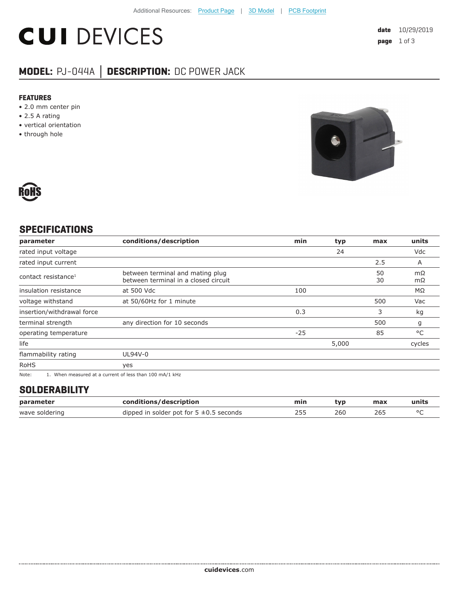# **CUI DEVICES**

### **MODEL:** PJ-044A **│ DESCRIPTION:** DC POWER JACK

#### **FEATURES**

- 2.0 mm center pin
- 2.5 A rating
- vertical orientation
- through hole





#### **SPECIFICATIONS**

| parameter                       | conditions/description                                                                                            | min   | typ   | max      | units     |
|---------------------------------|-------------------------------------------------------------------------------------------------------------------|-------|-------|----------|-----------|
| rated input voltage             |                                                                                                                   |       | 24    |          | Vdc       |
| rated input current             |                                                                                                                   |       |       | 2.5      | A         |
| contact resistance <sup>1</sup> | between terminal and mating plug<br>between terminal in a closed circuit                                          |       |       | 50<br>30 | mΩ<br>mΩ  |
| insulation resistance           | at 500 Vdc                                                                                                        | 100   |       |          | $M\Omega$ |
| voltage withstand               | at 50/60Hz for 1 minute                                                                                           |       |       | 500      | Vac       |
| insertion/withdrawal force      |                                                                                                                   | 0.3   |       | 3        | kg        |
| terminal strength               | any direction for 10 seconds                                                                                      |       |       | 500      | g         |
| operating temperature           |                                                                                                                   | $-25$ |       | 85       | °C        |
| life                            |                                                                                                                   |       | 5,000 |          | cycles    |
| flammability rating             | UL94V-0                                                                                                           |       |       |          |           |
| <b>RoHS</b>                     | yes                                                                                                               |       |       |          |           |
| $N = 1$                         | $\overline{A}$ (Mb and an approximately the processed of logical theory $\overline{A}$ OO as A $\overline{A}$ UID |       |       |          |           |

Note: 1. When measured at a current of less than 100 mA/1 kHz

#### **SOLDERABILITY**

| parameter      | conditions/description                       | min | tvp | max | units |
|----------------|----------------------------------------------|-----|-----|-----|-------|
| wave soldering | dipped in solder pot for $5 \pm 0.5$ seconds |     | 260 | 26. |       |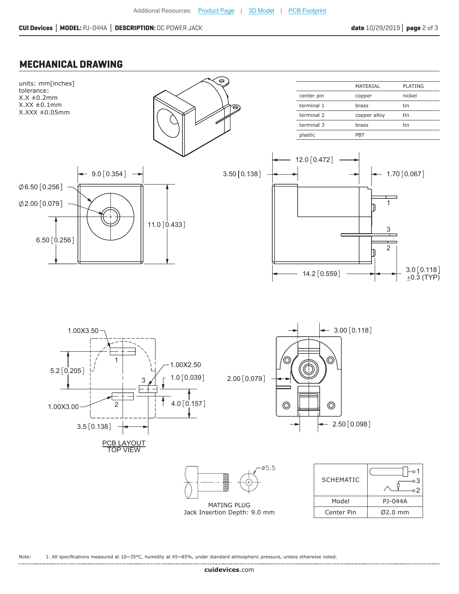#### **MECHANICAL DRAWING**



MATING PLUG Jack Insertion Depth: 9.0 r

|    | Model      | PJ-044A   |
|----|------------|-----------|
| nm | Center Pin | $Ø2.0$ mm |
|    |            |           |

Note: 1. All specifications measured at 10~35°C, humidity at 45~85%, under standard atmospheric pressure, unless otherwise noted.